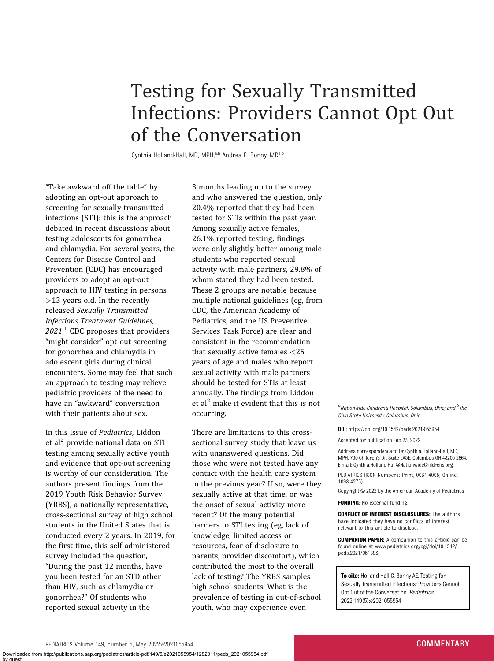## Testing for Sexually Transmitted Infections: Providers Cannot Opt Out of the Conversation

Cynthia Holland-Hall, MD, MPH,<sup>a,b</sup> Andrea E. Bonny, MD<sup>a,b</sup>

"Take awkward off the table" by adopting an opt-out approach to screening for sexually transmitted infections (STI): this is the approach debated in recent discussions about testing adolescents for gonorrhea and chlamydia. For several years, the Centers for Disease Control and Prevention (CDC) has encouraged providers to adopt an opt-out approach to HIV testing in persons >13 years old. In the recently released Sexually Transmitted Infections Treatment Guidelines,  $2021$ ,  $^1$  CDC proposes that providers "might consider" opt-out screening for gonorrhea and chlamydia in adolescent girls during clinical encounters. Some may feel that such an approach to testing may relieve pediatric providers of the need to have an "awkward" conversation with their patients about sex.

In this issue of Pediatrics, Liddon et al<sup>2</sup> provide national data on STI testing among sexually active youth and evidence that opt-out screening is worthy of our consideration. The authors present findings from the 2019 Youth Risk Behavior Survey (YRBS), a nationally representative, cross-sectional survey of high school students in the United States that is conducted every 2 years. In 2019, for the first time, this self-administered survey included the question, "During the past 12 months, have you been tested for an STD other than HIV, such as chlamydia or gonorrhea?" Of students who reported sexual activity in the

3 months leading up to the survey and who answered the question, only 20.4% reported that they had been tested for STIs within the past year. Among sexually active females, 26.1% reported testing; findings were only slightly better among male students who reported sexual activity with male partners, 29.8% of whom stated they had been tested. These 2 groups are notable because multiple national guidelines (eg, from CDC, the American Academy of Pediatrics, and the US Preventive Services Task Force) are clear and consistent in the recommendation that sexually active females <25 years of age and males who report sexual activity with male partners should be tested for STIs at least annually. The findings from Liddon et al<sup>2</sup> make it evident that this is not occurring.

There are limitations to this crosssectional survey study that leave us with unanswered questions. Did those who were not tested have any contact with the health care system in the previous year? If so, were they sexually active at that time, or was the onset of sexual activity more recent? Of the many potential barriers to STI testing (eg, lack of knowledge, limited access or resources, fear of disclosure to parents, provider discomfort), which contributed the most to the overall lack of testing? The YRBS samples high school students. What is the prevalence of testing in out-of-school youth, who may experience even

 ${}^a$ Nationwide Children's Hospital, Columbus, Ohio; and  ${}^b$ The Ohio State University, Columbus, Ohio

DOI: https://doi.org/10.1542/peds.2021-055954

Accepted for publication Feb 23, 2022

Address correspondence to Dr Cynthia Holland-Hall, MD, MPH, 700 Children's Dr, Suite LA5E, Columbus OH 43205-2664. E-mail: Cynthia.Holland-Hall@NationwideChildrens.org

PEDIATRICS (ISSN Numbers: Print, 0031-4005; Online, 1098-4275).

Copyright © 2022 by the American Academy of Pediatrics

FUNDING: No external funding.

CONFLICT OF INTEREST DISCLOSUURES: The authors have indicated they have no conflicts of interest relevant to this article to disclose.

COMPANION PAPER: A companion to this article can be found online at www.pediatrics.org/cgi/doi/10.1542/ peds.2021/051893.

To cite: Holland-Hall C, Bonny AE. Testing for Sexually Transmitted Infections: Providers Cannot Opt Out of the Conversation. Pediatrics. 2022;149(5):e2021055954

by guest

Downloaded from http://publications.aap.org/pediatrics/article-pdf/149/5/e2021055954/1282011/peds\_2021055954.pdf